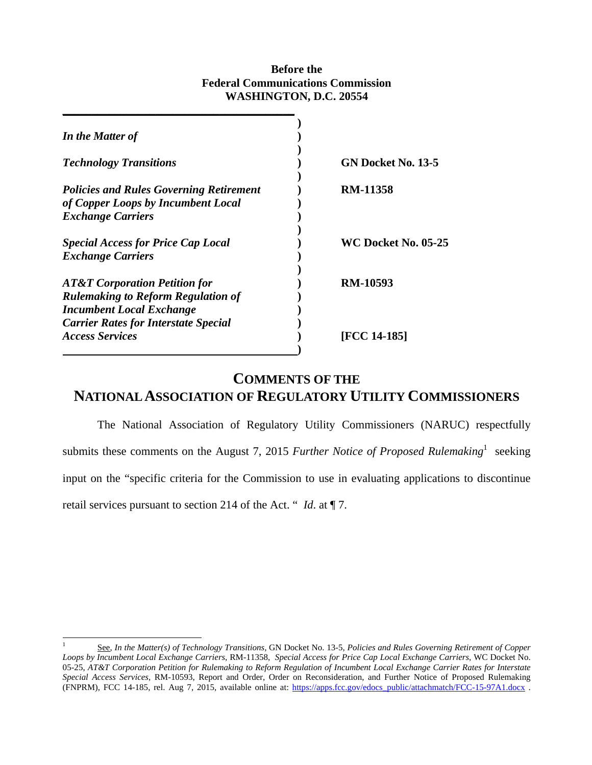### **Before the Federal Communications Commission WASHINGTON, D.C. 20554**

| In the Matter of                                                                                                         |                            |
|--------------------------------------------------------------------------------------------------------------------------|----------------------------|
| <b>Technology Transitions</b>                                                                                            | GN Docket No. 13-5         |
| <b>Policies and Rules Governing Retirement</b><br>of Copper Loops by Incumbent Local<br><b>Exchange Carriers</b>         | <b>RM-11358</b>            |
| <b>Special Access for Price Cap Local</b><br><b>Exchange Carriers</b>                                                    | <b>WC Docket No. 05-25</b> |
| <b>AT&amp;T Corporation Petition for</b><br><b>Rulemaking to Reform Regulation of</b><br><b>Incumbent Local Exchange</b> | <b>RM-10593</b>            |
| <b>Carrier Rates for Interstate Special</b><br><b>Access Services</b>                                                    | [FCC 14-185]               |

**\_\_\_\_\_\_\_\_\_\_\_\_\_\_\_\_\_\_\_\_\_\_\_\_\_\_\_\_\_\_\_\_\_\_\_\_\_\_\_\_**

# **COMMENTS OF THE NATIONAL ASSOCIATION OF REGULATORY UTILITY COMMISSIONERS**

The National Association of Regulatory Utility Commissioners (NARUC) respectfully submits these comments on the August 7, 2015 *Further Notice of Proposed Rulemaking*<sup>1</sup> seeking input on the "specific criteria for the Commission to use in evaluating applications to discontinue retail services pursuant to section 214 of the Act. " *Id*. at ¶ 7.

 $\frac{1}{1}$  See, *In the Matter(s) of Technology Transitions,* GN Docket No. 13-5, *Policies and Rules Governing Retirement of Copper Loops by Incumbent Local Exchange Carriers*, RM-11358, *Special Access for Price Cap Local Exchange Carriers*, WC Docket No. 05-25, *AT&T Corporation Petition for Rulemaking to Reform Regulation of Incumbent Local Exchange Carrier Rates for Interstate Special Access Services*, RM-10593, Report and Order, Order on Reconsideration, and Further Notice of Proposed Rulemaking (FNPRM), FCC 14-185, rel. Aug 7, 2015, available online at: https://apps.fcc.gov/edocs\_public/attachmatch/FCC-15-97A1.docx .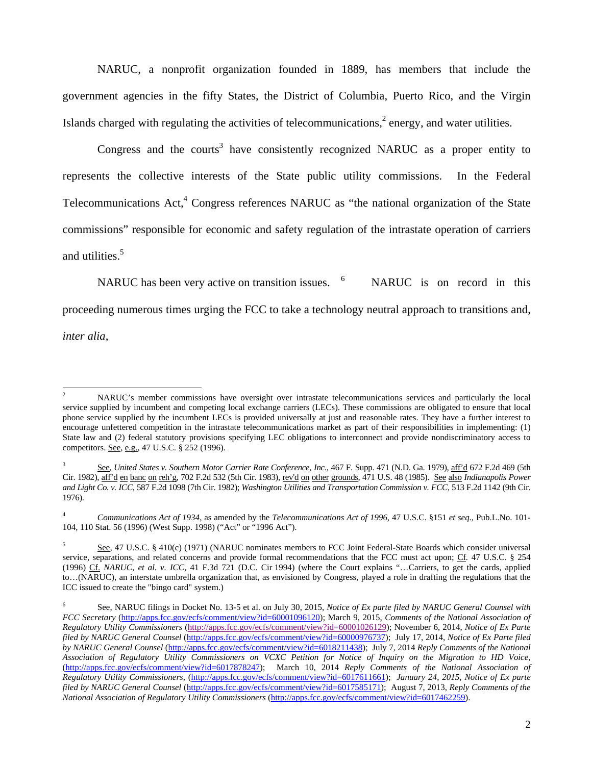NARUC, a nonprofit organization founded in 1889, has members that include the government agencies in the fifty States, the District of Columbia, Puerto Rico, and the Virgin Islands charged with regulating the activities of telecommunications, $<sup>2</sup>$  energy, and water utilities.</sup>

Congress and the courts<sup>3</sup> have consistently recognized NARUC as a proper entity to represents the collective interests of the State public utility commissions. In the Federal Telecommunications  $Act<sup>4</sup>$  Congress references NARUC as "the national organization of the State commissions" responsible for economic and safety regulation of the intrastate operation of carriers and utilities.<sup>5</sup>

NARUC has been very active on transition issues. <sup>6</sup> NARUC is on record in this proceeding numerous times urging the FCC to take a technology neutral approach to transitions and,

*inter alia*,

 2 NARUC's member commissions have oversight over intrastate telecommunications services and particularly the local service supplied by incumbent and competing local exchange carriers (LECs). These commissions are obligated to ensure that local phone service supplied by the incumbent LECs is provided universally at just and reasonable rates. They have a further interest to encourage unfettered competition in the intrastate telecommunications market as part of their responsibilities in implementing: (1) State law and (2) federal statutory provisions specifying LEC obligations to interconnect and provide nondiscriminatory access to competitors. See, e.g., 47 U.S.C. § 252 (1996).

<sup>3</sup> See, *United States v. Southern Motor Carrier Rate Conference, Inc.,* 467 F. Supp. 471 (N.D. Ga. 1979), aff'd 672 F.2d 469 (5th Cir. 1982), aff'd en banc on reh'g, 702 F.2d 532 (5th Cir. 1983), rev'd on other grounds*,* 471 U.S. 48 (1985). See also *Indianapolis Power and Light Co. v. ICC*, 587 F.2d 1098 (7th Cir. 1982); *Washington Utilities and Transportation Commission v. FCC,* 513 F.2d 1142 (9th Cir. 1976).

<sup>4</sup>  *Communications Act of 1934*, as amended by the *Telecommunications Act of 1996*, 47 U.S.C. §151 *et seq*., Pub.L.No. 101- 104, 110 Stat. 56 (1996) (West Supp. 1998) ("Act" or "1996 Act").

<sup>5</sup> See, 47 U.S.C. § 410(c) (1971) (NARUC nominates members to FCC Joint Federal-State Boards which consider universal service, separations, and related concerns and provide formal recommendations that the FCC must act upon; Cf*.* 47 U.S.C. § 254 (1996) Cf. *NARUC, et al. v. ICC,* 41 F.3d 721 (D.C. Cir 1994) (where the Court explains "…Carriers, to get the cards, applied to…(NARUC), an interstate umbrella organization that, as envisioned by Congress, played a role in drafting the regulations that the ICC issued to create the "bingo card" system.)

<sup>6</sup> See, NARUC filings in Docket No. 13-5 et al. on July 30, 2015, *Notice of Ex parte filed by NARUC General Counsel with FCC Secretary* (http://apps.fcc.gov/ecfs/comment/view?id=60001096120); March 9, 2015, *Comments of the National Association of Regulatory Utility Commissioners* (http://apps.fcc.gov/ecfs/comment/view?id=60001026129); November 6, 2014, *Notice of Ex Parte filed by NARUC General Counsel* (http://apps.fcc.gov/ecfs/comment/view?id=60000976737); July 17, 2014, *Notice of Ex Parte filed by NARUC General Counsel* (http://apps.fcc.gov/ecfs/comment/view?id=6018211438); July 7, 2014 *Reply Comments of the National Association of Regulatory Utility Commissioners on VCXC Petition for Notice of Inquiry on the Migration to HD Voice*, (http://apps.fcc.gov/ecfs/comment/view?id=6017878247); March 10, 2014 *Reply Comments of the National Association of Regulatory Utility Commissioners*, (http://apps.fcc.gov/ecfs/comment/view?id=6017611661); *January 24, 2015, Notice of Ex parte filed by NARUC General Counsel* (http://apps.fcc.gov/ecfs/comment/view?id=6017585171); August 7, 2013, *Reply Comments of the National Association of Regulatory Utility Commissioners* (http://apps.fcc.gov/ecfs/comment/view?id=6017462259).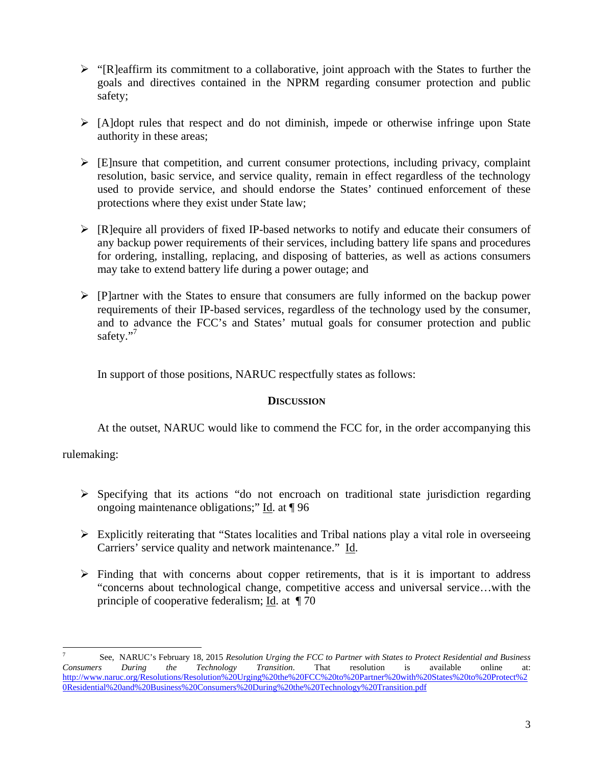- $\triangleright$  "[R]eaffirm its commitment to a collaborative, joint approach with the States to further the goals and directives contained in the NPRM regarding consumer protection and public safety;
- $\triangleright$  [A]dopt rules that respect and do not diminish, impede or otherwise infringe upon State authority in these areas;
- $\triangleright$  [E]nsure that competition, and current consumer protections, including privacy, complaint resolution, basic service, and service quality, remain in effect regardless of the technology used to provide service, and should endorse the States' continued enforcement of these protections where they exist under State law;
- $\triangleright$  [R]equire all providers of fixed IP-based networks to notify and educate their consumers of any backup power requirements of their services, including battery life spans and procedures for ordering, installing, replacing, and disposing of batteries, as well as actions consumers may take to extend battery life during a power outage; and
- $\triangleright$  [P]artner with the States to ensure that consumers are fully informed on the backup power requirements of their IP-based services, regardless of the technology used by the consumer, and to advance the FCC's and States' mutual goals for consumer protection and public safety."<sup>7</sup>

In support of those positions, NARUC respectfully states as follows:

## **DISCUSSION**

At the outset, NARUC would like to commend the FCC for, in the order accompanying this

rulemaking:

 $\overline{a}$ 

- $\triangleright$  Specifying that its actions "do not encroach on traditional state jurisdiction regarding ongoing maintenance obligations;" Id. at ¶ 96
- $\triangleright$  Explicitly reiterating that "States localities and Tribal nations play a vital role in overseeing Carriers' service quality and network maintenance." Id.
- $\triangleright$  Finding that with concerns about copper retirements, that is it is important to address "concerns about technological change, competitive access and universal service…with the principle of cooperative federalism; Id. at ¶ 70

<sup>7</sup> See, NARUC's February 18, 2015 *Resolution Urging the FCC to Partner with States to Protect Residential and Business Consumers During the Technology Transition*. That resolution is available online at: http://www.naruc.org/Resolutions/Resolution%20Urging%20the%20FCC%20to%20Partner%20with%20States%20to%20Protect%2 0Residential%20and%20Business%20Consumers%20During%20the%20Technology%20Transition.pdf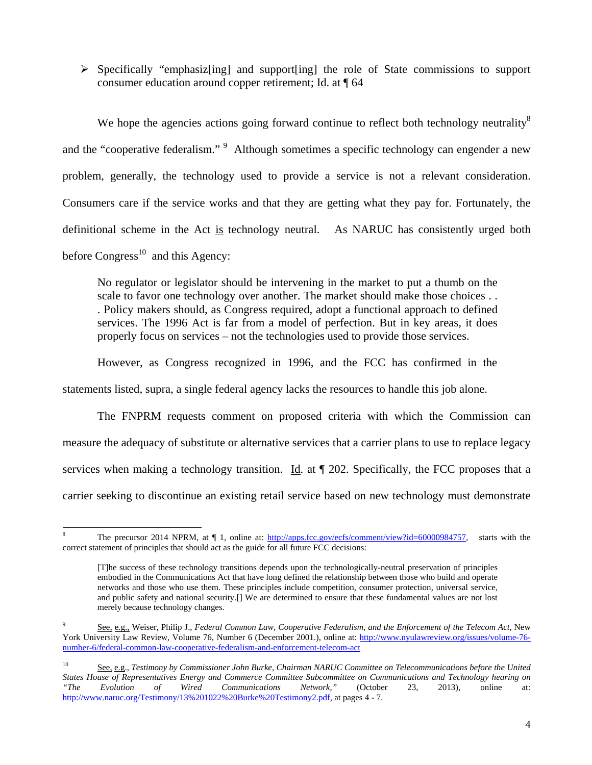$\triangleright$  Specifically "emphasiz[ing] and support[ing] the role of State commissions to support consumer education around copper retirement; Id. at ¶ 64

We hope the agencies actions going forward continue to reflect both technology neutrality<sup>8</sup> and the "cooperative federalism." <sup>9</sup> Although sometimes a specific technology can engender a new problem, generally, the technology used to provide a service is not a relevant consideration. Consumers care if the service works and that they are getting what they pay for. Fortunately, the definitional scheme in the Act is technology neutral. As NARUC has consistently urged both before  $Congress<sup>10</sup>$  and this Agency:

No regulator or legislator should be intervening in the market to put a thumb on the scale to favor one technology over another. The market should make those choices . . . Policy makers should, as Congress required, adopt a functional approach to defined services. The 1996 Act is far from a model of perfection. But in key areas, it does properly focus on services – not the technologies used to provide those services.

However, as Congress recognized in 1996, and the FCC has confirmed in the

statements listed, supra, a single federal agency lacks the resources to handle this job alone.

 The FNPRM requests comment on proposed criteria with which the Commission can measure the adequacy of substitute or alternative services that a carrier plans to use to replace legacy services when making a technology transition. Id. at  $\P$  202. Specifically, the FCC proposes that a carrier seeking to discontinue an existing retail service based on new technology must demonstrate

 $\overline{a}$ 

<sup>8</sup> The precursor 2014 NPRM, at  $\P$  1, online at: http://apps.fcc.gov/ecfs/comment/view?id=60000984757, starts with the correct statement of principles that should act as the guide for all future FCC decisions:

<sup>[</sup>T]he success of these technology transitions depends upon the technologically-neutral preservation of principles embodied in the Communications Act that have long defined the relationship between those who build and operate networks and those who use them. These principles include competition, consumer protection, universal service, and public safety and national security.[] We are determined to ensure that these fundamental values are not lost merely because technology changes.

<sup>9</sup> See, e.g., Weiser, Philip J., *Federal Common Law, Cooperative Federalism, and the Enforcement of the Telecom Act*, New York University Law Review, Volume 76, Number 6 (December 2001.), online at: http://www.nyulawreview.org/issues/volume-76 number-6/federal-common-law-cooperative-federalism-and-enforcement-telecom-act

<sup>10</sup> See, e.g., *Testimony by Commissioner John Burke, Chairman NARUC Committee on Telecommunications before the United States House of Representatives Energy and Commerce Committee Subcommittee on Communications and Technology hearing on "The Evolution of Wired Communications Network,"* (October 23, 2013), online at: http://www.naruc.org/Testimony/13%201022%20Burke%20Testimony2.pdf, at pages 4 - 7.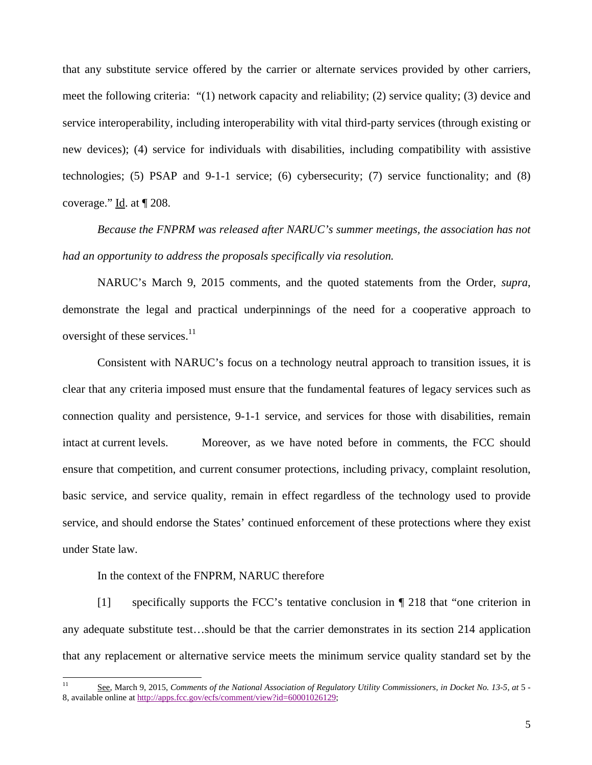that any substitute service offered by the carrier or alternate services provided by other carriers, meet the following criteria: "(1) network capacity and reliability; (2) service quality; (3) device and service interoperability, including interoperability with vital third-party services (through existing or new devices); (4) service for individuals with disabilities, including compatibility with assistive technologies; (5) PSAP and 9-1-1 service; (6) cybersecurity; (7) service functionality; and (8) coverage." Id. at ¶ 208.

*Because the FNPRM was released after NARUC's summer meetings, the association has not had an opportunity to address the proposals specifically via resolution.*

 NARUC's March 9, 2015 comments, and the quoted statements from the Order, *supra*, demonstrate the legal and practical underpinnings of the need for a cooperative approach to oversight of these services. $11$ 

 Consistent with NARUC's focus on a technology neutral approach to transition issues, it is clear that any criteria imposed must ensure that the fundamental features of legacy services such as connection quality and persistence, 9-1-1 service, and services for those with disabilities, remain intact at current levels. Moreover, as we have noted before in comments, the FCC should ensure that competition, and current consumer protections, including privacy, complaint resolution, basic service, and service quality, remain in effect regardless of the technology used to provide service, and should endorse the States' continued enforcement of these protections where they exist under State law.

In the context of the FNPRM, NARUC therefore

 [1] specifically supports the FCC's tentative conclusion in ¶ 218 that "one criterion in any adequate substitute test…should be that the carrier demonstrates in its section 214 application that any replacement or alternative service meets the minimum service quality standard set by the

 $11$ 11 See, March 9, 2015, *Comments of the National Association of Regulatory Utility Commissioners, in Docket No. 13-5, at* 5 - 8, available online at http://apps.fcc.gov/ecfs/comment/view?id=60001026129;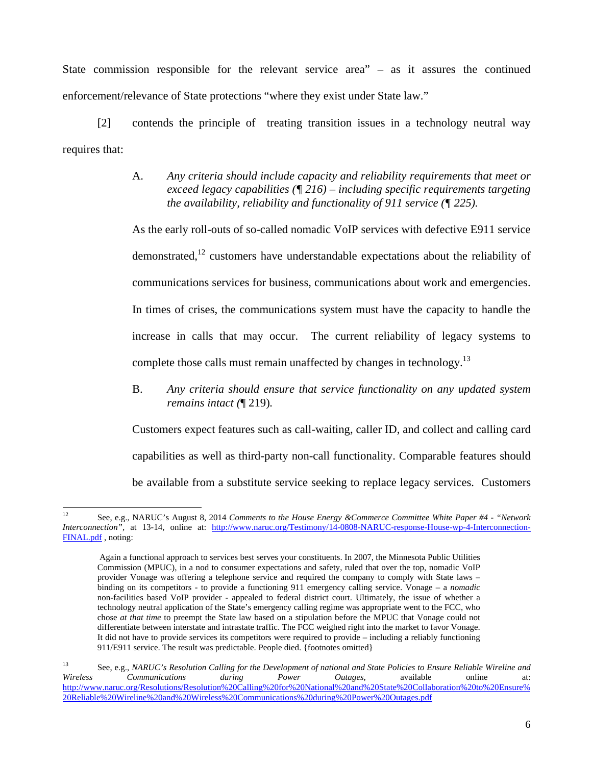State commission responsible for the relevant service area" – as it assures the continued enforcement/relevance of State protections "where they exist under State law."

 [2] contends the principle of treating transition issues in a technology neutral way requires that:

> A. *Any criteria should include capacity and reliability requirements that meet or exceed legacy capabilities (¶ 216) – including specific requirements targeting the availability, reliability and functionality of 911 service (¶ 225).*

> As the early roll-outs of so-called nomadic VoIP services with defective E911 service demonstrated,<sup>12</sup> customers have understandable expectations about the reliability of communications services for business, communications about work and emergencies. In times of crises, the communications system must have the capacity to handle the increase in calls that may occur. The current reliability of legacy systems to complete those calls must remain unaffected by changes in technology.<sup>13</sup>

> B. *Any criteria should ensure that service functionality on any updated system remains intact (*¶ 219)*.*

> Customers expect features such as call-waiting, caller ID, and collect and calling card capabilities as well as third-party non-call functionality. Comparable features should be available from a substitute service seeking to replace legacy services. Customers

 $12<sup>12</sup>$ 12 See, e.g., NARUC's August 8, 2014 *Comments to the House Energy &Commerce Committee White Paper #4 - "Network Interconnection"*, at 13-14, online at: http://www.naruc.org/Testimony/14-0808-NARUC-response-House-wp-4-Interconnection-FINAL.pdf , noting:

Again a functional approach to services best serves your constituents. In 2007, the Minnesota Public Utilities Commission (MPUC), in a nod to consumer expectations and safety, ruled that over the top, nomadic VoIP provider Vonage was offering a telephone service and required the company to comply with State laws – binding on its competitors - to provide a functioning 911 emergency calling service. Vonage – a *nomadic*  non-facilities based VoIP provider - appealed to federal district court. Ultimately, the issue of whether a technology neutral application of the State's emergency calling regime was appropriate went to the FCC, who chose *at that time* to preempt the State law based on a stipulation before the MPUC that Vonage could not differentiate between interstate and intrastate traffic. The FCC weighed right into the market to favor Vonage. It did not have to provide services its competitors were required to provide – including a reliably functioning 911/E911 service. The result was predictable. People died. {footnotes omitted}

<sup>13</sup> See, e.g., *NARUC's Resolution Calling for the Development of national and State Policies to Ensure Reliable Wireline and Wireless Communications during Power Outages*, available online at: http://www.naruc.org/Resolutions/Resolution%20Calling%20for%20National%20and%20State%20Collaboration%20to%20Ensure% 20Reliable%20Wireline%20and%20Wireless%20Communications%20during%20Power%20Outages.pdf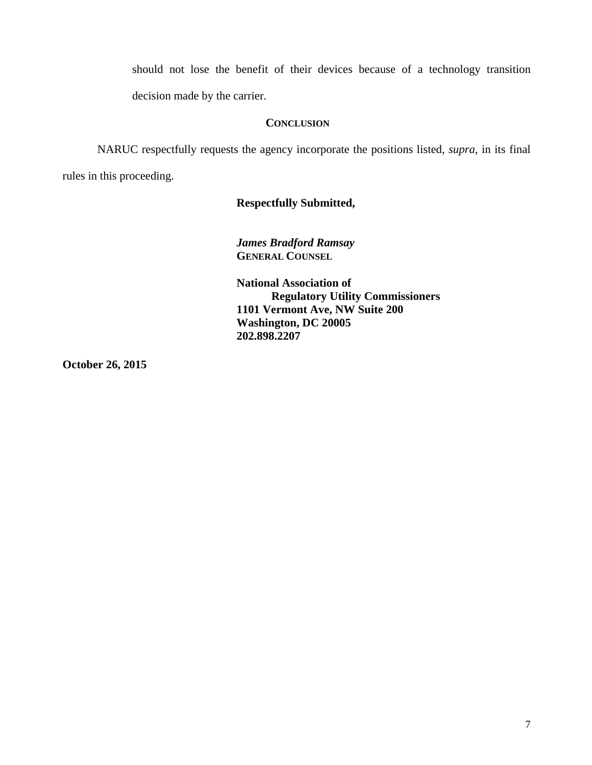should not lose the benefit of their devices because of a technology transition decision made by the carrier.

#### **CONCLUSION**

NARUC respectfully requests the agency incorporate the positions listed, *supra*, in its final rules in this proceeding.

#### **Respectfully Submitted,**

*James Bradford Ramsay*   **GENERAL COUNSEL**

**National Association of Regulatory Utility Commissioners 1101 Vermont Ave, NW Suite 200 Washington, DC 20005 202.898.2207** 

**October 26, 2015**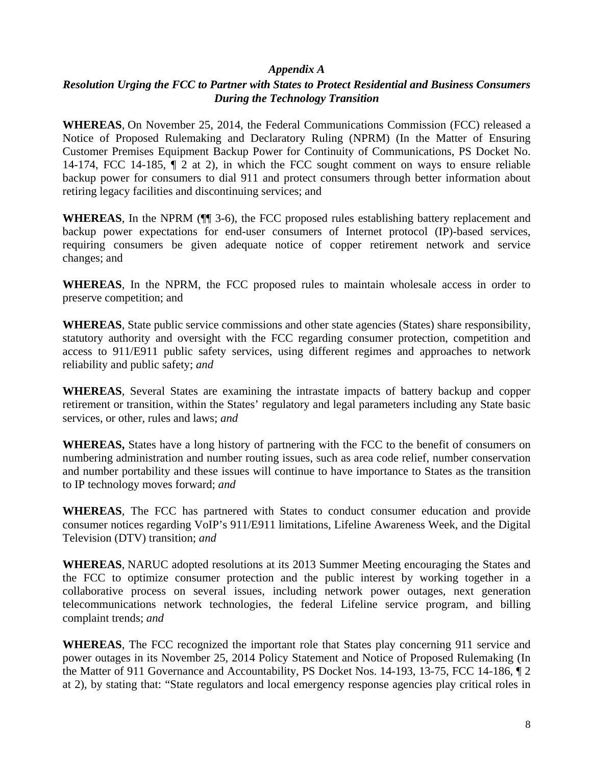#### *Appendix A*

## *Resolution Urging the FCC to Partner with States to Protect Residential and Business Consumers During the Technology Transition*

**WHEREAS**, On November 25, 2014, the Federal Communications Commission (FCC) released a Notice of Proposed Rulemaking and Declaratory Ruling (NPRM) (In the Matter of Ensuring Customer Premises Equipment Backup Power for Continuity of Communications, PS Docket No. 14-174, FCC 14-185, ¶ 2 at 2), in which the FCC sought comment on ways to ensure reliable backup power for consumers to dial 911 and protect consumers through better information about retiring legacy facilities and discontinuing services; and

**WHEREAS**, In the NPRM (¶¶ 3-6), the FCC proposed rules establishing battery replacement and backup power expectations for end-user consumers of Internet protocol (IP)-based services, requiring consumers be given adequate notice of copper retirement network and service changes; and

**WHEREAS**, In the NPRM, the FCC proposed rules to maintain wholesale access in order to preserve competition; and

**WHEREAS**, State public service commissions and other state agencies (States) share responsibility, statutory authority and oversight with the FCC regarding consumer protection, competition and access to 911/E911 public safety services, using different regimes and approaches to network reliability and public safety; *and*

**WHEREAS**, Several States are examining the intrastate impacts of battery backup and copper retirement or transition, within the States' regulatory and legal parameters including any State basic services, or other, rules and laws; *and* 

**WHEREAS,** States have a long history of partnering with the FCC to the benefit of consumers on numbering administration and number routing issues, such as area code relief, number conservation and number portability and these issues will continue to have importance to States as the transition to IP technology moves forward; *and*

**WHEREAS**, The FCC has partnered with States to conduct consumer education and provide consumer notices regarding VoIP's 911/E911 limitations, Lifeline Awareness Week, and the Digital Television (DTV) transition; *and* 

**WHEREAS**, NARUC adopted resolutions at its 2013 Summer Meeting encouraging the States and the FCC to optimize consumer protection and the public interest by working together in a collaborative process on several issues, including network power outages, next generation telecommunications network technologies, the federal Lifeline service program, and billing complaint trends; *and*

**WHEREAS**, The FCC recognized the important role that States play concerning 911 service and power outages in its November 25, 2014 Policy Statement and Notice of Proposed Rulemaking (In the Matter of 911 Governance and Accountability, PS Docket Nos. 14-193, 13-75, FCC 14-186, ¶ 2 at 2), by stating that: "State regulators and local emergency response agencies play critical roles in